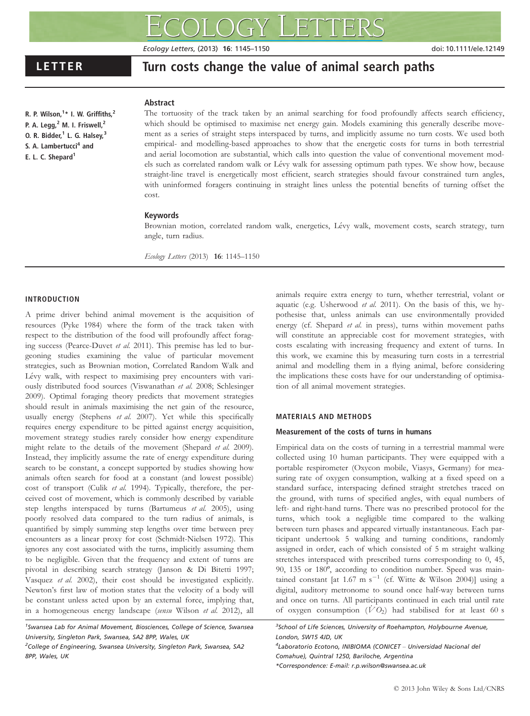Ecology Letters, (2013) 16: 1145–1150 doi: 10.1111/ele.12149

R. P. Wilson,<sup>1</sup>\* I. W. Griffiths,<sup>2</sup> P. A. Legg,<sup>2</sup> M. I. Friswell,<sup>2</sup> O. R. Bidder, $<sup>1</sup>$  L. G. Halsey, $<sup>3</sup>$ </sup></sup> S. A. Lambertucci<sup>4</sup> and E. L. C. Shepard<sup>1</sup>

LETTER TURN Turn costs change the value of animal search paths

# Abstract

The tortuosity of the track taken by an animal searching for food profoundly affects search efficiency, which should be optimised to maximise net energy gain. Models examining this generally describe movement as a series of straight steps interspaced by turns, and implicitly assume no turn costs. We used both empirical- and modelling-based approaches to show that the energetic costs for turns in both terrestrial and aerial locomotion are substantial, which calls into question the value of conventional movement models such as correlated random walk or Lévy walk for assessing optimum path types. We show how, because straight-line travel is energetically most efficient, search strategies should favour constrained turn angles, with uninformed foragers continuing in straight lines unless the potential benefits of turning offset the cost.

### Keywords

Brownian motion, correlated random walk, energetics, Lévy walk, movement costs, search strategy, turn angle, turn radius.

Ecology Letters (2013) 16: 1145–1150

## INTRODUCTION

A prime driver behind animal movement is the acquisition of resources (Pyke 1984) where the form of the track taken with respect to the distribution of the food will profoundly affect foraging success (Pearce-Duvet et al. 2011). This premise has led to burgeoning studies examining the value of particular movement strategies, such as Brownian motion, Correlated Random Walk and Lévy walk, with respect to maximising prey encounters with variously distributed food sources (Viswanathan et al. 2008; Schlesinger 2009). Optimal foraging theory predicts that movement strategies should result in animals maximising the net gain of the resource, usually energy (Stephens et al. 2007). Yet while this specifically requires energy expenditure to be pitted against energy acquisition, movement strategy studies rarely consider how energy expenditure might relate to the details of the movement (Shepard et al. 2009). Instead, they implicitly assume the rate of energy expenditure during search to be constant, a concept supported by studies showing how animals often search for food at a constant (and lowest possible) cost of transport (Culik et al. 1994). Typically, therefore, the perceived cost of movement, which is commonly described by variable step lengths interspaced by turns (Bartumeus et al. 2005), using poorly resolved data compared to the turn radius of animals, is quantified by simply summing step lengths over time between prey encounters as a linear proxy for cost (Schmidt-Nielsen 1972). This ignores any cost associated with the turns, implicitly assuming them to be negligible. Given that the frequency and extent of turns are pivotal in describing search strategy (Janson & Di Bitetti 1997; Vasquez et al. 2002), their cost should be investigated explicitly. Newton's first law of motion states that the velocity of a body will be constant unless acted upon by an external force, implying that, in a homogeneous energy landscape (sensu Wilson et al. 2012), all

<sup>1</sup>Swansea Lab for Animal Movement, Biosciences, College of Science, Swansea University, Singleton Park, Swansea, SA2 8PP, Wales, UK <sup>2</sup>College of Engineering, Swansea University, Singleton Park, Swansea, SA2

8PP, Wales, UK

animals require extra energy to turn, whether terrestrial, volant or aquatic (e.g. Usherwood et al. 2011). On the basis of this, we hypothesise that, unless animals can use environmentally provided energy (cf. Shepard et al. in press), turns within movement paths will constitute an appreciable cost for movement strategies, with costs escalating with increasing frequency and extent of turns. In this work, we examine this by measuring turn costs in a terrestrial animal and modelling them in a flying animal, before considering the implications these costs have for our understanding of optimisation of all animal movement strategies.

#### MATERIALS AND METHODS

#### Measurement of the costs of turns in humans

Empirical data on the costs of turning in a terrestrial mammal were collected using 10 human participants. They were equipped with a portable respirometer (Oxycon mobile, Viasys, Germany) for measuring rate of oxygen consumption, walking at a fixed speed on a standard surface, interspacing defined straight stretches traced on the ground, with turns of specified angles, with equal numbers of left- and right-hand turns. There was no prescribed protocol for the turns, which took a negligible time compared to the walking between turn phases and appeared virtually instantaneous. Each participant undertook 5 walking and turning conditions, randomly assigned in order, each of which consisted of 5 m straight walking stretches interspaced with prescribed turns corresponding to 0, 45, 90, 135 or 180º, according to condition number. Speed was maintained constant [at 1.67 m s<sup>-1</sup> (cf. Witte & Wilson 2004)] using a digital, auditory metronome to sound once half-way between turns and once on turns. All participants continued in each trial until rate of oxygen consumption  $(\dot{V}O_2)$  had stabilised for at least 60 s

<sup>3</sup>School of Life Sciences, University of Roehampton, Holybourne Avenue, London, SW15 4JD, UK

4 Laboratorio Ecotono, INIBIOMA (CONICET – Universidad Nacional del Comahue), Quintral 1250, Bariloche, Argentina \*Correspondence: E-mail: r.p.wilson@swansea.ac.uk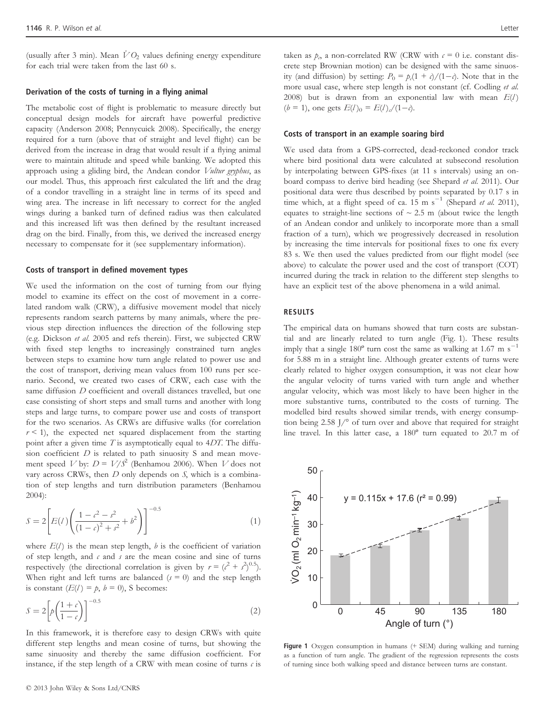(usually after 3 min). Mean  $\dot{V}O_2$  values defining energy expenditure for each trial were taken from the last 60 s.

### Derivation of the costs of turning in a flying animal

The metabolic cost of flight is problematic to measure directly but conceptual design models for aircraft have powerful predictive capacity (Anderson 2008; Pennycuick 2008). Specifically, the energy required for a turn (above that of straight and level flight) can be derived from the increase in drag that would result if a flying animal were to maintain altitude and speed while banking. We adopted this approach using a gliding bird, the Andean condor Vultur gryphus, as our model. Thus, this approach first calculated the lift and the drag of a condor travelling in a straight line in terms of its speed and wing area. The increase in lift necessary to correct for the angled wings during a banked turn of defined radius was then calculated and this increased lift was then defined by the resultant increased drag on the bird. Finally, from this, we derived the increased energy necessary to compensate for it (see supplementary information).

### Costs of transport in defined movement types

We used the information on the cost of turning from our flying model to examine its effect on the cost of movement in a correlated random walk (CRW), a diffusive movement model that nicely represents random search patterns by many animals, where the previous step direction influences the direction of the following step (e.g. Dickson et al. 2005 and refs therein). First, we subjected CRW with fixed step lengths to increasingly constrained turn angles between steps to examine how turn angle related to power use and the cost of transport, deriving mean values from 100 runs per scenario. Second, we created two cases of CRW, each case with the same diffusion D coefficient and overall distances travelled, but one case consisting of short steps and small turns and another with long steps and large turns, to compare power use and costs of transport for the two scenarios. As CRWs are diffusive walks (for correlation  $r < 1$ ), the expected net squared displacement from the starting point after a given time  $T$  is asymptotically equal to  $4DT$ . The diffusion coefficient  $D$  is related to path sinuosity S and mean movement speed  $V$  by:  $D = V/S^2$  (Benhamou 2006). When  $V$  does not vary across CRWs, then  $D$  only depends on  $S$ , which is a combination of step lengths and turn distribution parameters (Benhamou 2004):

$$
S = 2\left[E(l)\left(\frac{1-c^2-s^2}{(1-c)^2+s^2}+b^2\right)\right]^{-0.5}
$$
\n(1)

where  $E(l)$  is the mean step length, b is the coefficient of variation of step length, and  $\epsilon$  and  $s$  are the mean cosine and sine of turns respectively (the directional correlation is given by  $r = (c^2 + s^2)^{0.5}$ ). When right and left turns are balanced ( $s = 0$ ) and the step length is constant  $(E(l) = p, b = 0)$ , S becomes:

$$
S = 2\left[p\left(\frac{1+\epsilon}{1-\epsilon}\right)\right]^{-0.5} \tag{2}
$$

In this framework, it is therefore easy to design CRWs with quite different step lengths and mean cosine of turns, but showing the same sinuosity and thereby the same diffusion coefficient. For instance, if the step length of a CRW with mean cosine of turns  $c$  is

taken as  $p_{\alpha}$  a non-correlated RW (CRW with  $\epsilon = 0$  i.e. constant discrete step Brownian motion) can be designed with the same sinuosity (and diffusion) by setting:  $P_0 = p_c(1 + c)/(1 - c)$ . Note that in the more usual case, where step length is not constant (cf. Codling et al. 2008) but is drawn from an exponential law with mean  $E(l)$  $(b = 1)$ , one gets  $E(l)_0 = E(l)/(1-c)$ .

### Costs of transport in an example soaring bird

We used data from a GPS-corrected, dead-reckoned condor track where bird positional data were calculated at subsecond resolution by interpolating between GPS-fixes (at 11 s intervals) using an onboard compass to derive bird heading (see Shepard et al. 2011). Our positional data were thus described by points separated by 0.17 s in time which, at a flight speed of ca.  $15 \text{ m s}^{-1}$  (Shepard *et al.* 2011), equates to straight-line sections of  $\sim 2.5$  m (about twice the length of an Andean condor and unlikely to incorporate more than a small fraction of a turn), which we progressively decreased in resolution by increasing the time intervals for positional fixes to one fix every 83 s. We then used the values predicted from our flight model (see above) to calculate the power used and the cost of transport (COT) incurred during the track in relation to the different step slengths to have an explicit test of the above phenomena in a wild animal.

## RESULTS

The empirical data on humans showed that turn costs are substantial and are linearly related to turn angle (Fig. 1). These results imply that a single  $180^{\circ}$  turn cost the same as walking at 1.67 m s<sup>-1</sup> for 5.88 m in a straight line. Although greater extents of turns were clearly related to higher oxygen consumption, it was not clear how the angular velocity of turns varied with turn angle and whether angular velocity, which was most likely to have been higher in the more substantive turns, contributed to the costs of turning. The modelled bird results showed similar trends, with energy consumption being 2.58 J/° of turn over and above that required for straight line travel. In this latter case, a 180º turn equated to 20.7 m of



Figure 1 Oxygen consumption in humans (+ SEM) during walking and turning as a function of turn angle. The gradient of the regression represents the costs of turning since both walking speed and distance between turns are constant.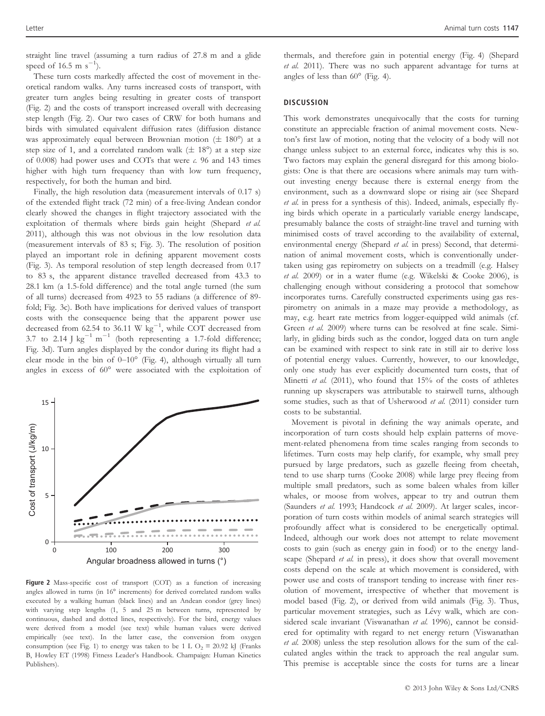straight line travel (assuming a turn radius of 27.8 m and a glide speed of 16.5 m  $s^{-1}$ ).

These turn costs markedly affected the cost of movement in theoretical random walks. Any turns increased costs of transport, with greater turn angles being resulting in greater costs of transport (Fig. 2) and the costs of transport increased overall with decreasing step length (Fig. 2). Our two cases of CRW for both humans and birds with simulated equivalent diffusion rates (diffusion distance was approximately equal between Brownian motion ( $\pm$  180°) at a step size of 1, and a correlated random walk  $(\pm 18^{\circ})$  at a step size of 0.008) had power uses and COTs that were c. 96 and 143 times higher with high turn frequency than with low turn frequency, respectively, for both the human and bird.

Finally, the high resolution data (measurement intervals of 0.17 s) of the extended flight track (72 min) of a free-living Andean condor clearly showed the changes in flight trajectory associated with the exploitation of thermals where birds gain height (Shepard et al. 2011), although this was not obvious in the low resolution data (measurement intervals of 83 s; Fig. 3). The resolution of position played an important role in defining apparent movement costs (Fig. 3). As temporal resolution of step length decreased from 0.17 to 83 s, the apparent distance travelled decreased from 43.3 to 28.1 km (a 1.5-fold difference) and the total angle turned (the sum of all turns) decreased from 4923 to 55 radians (a difference of 89 fold; Fig. 3c). Both have implications for derived values of transport costs with the consequence being that the apparent power use decreased from 62.54 to 36.11 W  $\text{kg}^{-1}$ , while COT decreased from 3.7 to 2.14 J  $\text{kg}^{-1}$  m<sup>-1</sup> (both representing a 1.7-fold difference; Fig. 3d). Turn angles displayed by the condor during its flight had a clear mode in the bin of  $0-10^{\circ}$  (Fig. 4), although virtually all turn angles in excess of 60° were associated with the exploitation of



Figure 2 Mass-specific cost of transport (COT) as a function of increasing angles allowed in turns (in 16° increments) for derived correlated random walks executed by a walking human (black lines) and an Andean condor (grey lines) with varying step lengths (1, 5 and 25 m between turns, represented by continuous, dashed and dotted lines, respectively). For the bird, energy values were derived from a model (see text) while human values were derived empirically (see text). In the latter case, the conversion from oxygen consumption (see Fig. 1) to energy was taken to be 1 L O<sub>2</sub>  $\equiv$  20.92 kJ (Franks B, Howley ET (1998) Fitness Leader's Handbook. Champaign: Human Kinetics Publishers).

thermals, and therefore gain in potential energy (Fig. 4) (Shepard et al. 2011). There was no such apparent advantage for turns at angles of less than 60° (Fig. 4).

### DISCUSSION

This work demonstrates unequivocally that the costs for turning constitute an appreciable fraction of animal movement costs. Newton's first law of motion, noting that the velocity of a body will not change unless subject to an external force, indicates why this is so. Two factors may explain the general disregard for this among biologists: One is that there are occasions where animals may turn without investing energy because there is external energy from the environment, such as a downward slope or rising air (see Shepard et al. in press for a synthesis of this). Indeed, animals, especially flying birds which operate in a particularly variable energy landscape, presumably balance the costs of straight-line travel and turning with minimised costs of travel according to the availability of external, environmental energy (Shepard et al. in press) Second, that determination of animal movement costs, which is conventionally undertaken using gas repirometry on subjects on a treadmill (e.g. Halsey et al. 2009) or in a water flume (e.g. Wikelski & Cooke 2006), is challenging enough without considering a protocol that somehow incorporates turns. Carefully constructed experiments using gas respirometry on animals in a maze may provide a methodology, as may, e.g. heart rate metrics from logger-equipped wild animals (cf. Green et al. 2009) where turns can be resolved at fine scale. Similarly, in gliding birds such as the condor, logged data on turn angle can be examined with respect to sink rate in still air to derive loss of potential energy values. Currently, however, to our knowledge, only one study has ever explicitly documented turn costs, that of Minetti et al. (2011), who found that 15% of the costs of athletes running up skyscrapers was attributable to stairwell turns, although some studies, such as that of Usherwood et al. (2011) consider turn costs to be substantial.

Movement is pivotal in defining the way animals operate, and incorporation of turn costs should help explain patterns of movement-related phenomena from time scales ranging from seconds to lifetimes. Turn costs may help clarify, for example, why small prey pursued by large predators, such as gazelle fleeing from cheetah, tend to use sharp turns (Cooke 2008) while large prey fleeing from multiple small predators, such as some baleen whales from killer whales, or moose from wolves, appear to try and outrun them (Saunders et al. 1993; Handcock et al. 2009). At larger scales, incorporation of turn costs within models of animal search strategies will profoundly affect what is considered to be energetically optimal. Indeed, although our work does not attempt to relate movement costs to gain (such as energy gain in food) or to the energy landscape (Shepard et al. in press), it does show that overall movement costs depend on the scale at which movement is considered, with power use and costs of transport tending to increase with finer resolution of movement, irrespective of whether that movement is model based (Fig. 2), or derived from wild animals (Fig. 3). Thus, particular movement strategies, such as Lévy walk, which are considered scale invariant (Viswanathan et al. 1996), cannot be considered for optimality with regard to net energy return (Viswanathan et al. 2008) unless the step resolution allows for the sum of the calculated angles within the track to approach the real angular sum. This premise is acceptable since the costs for turns are a linear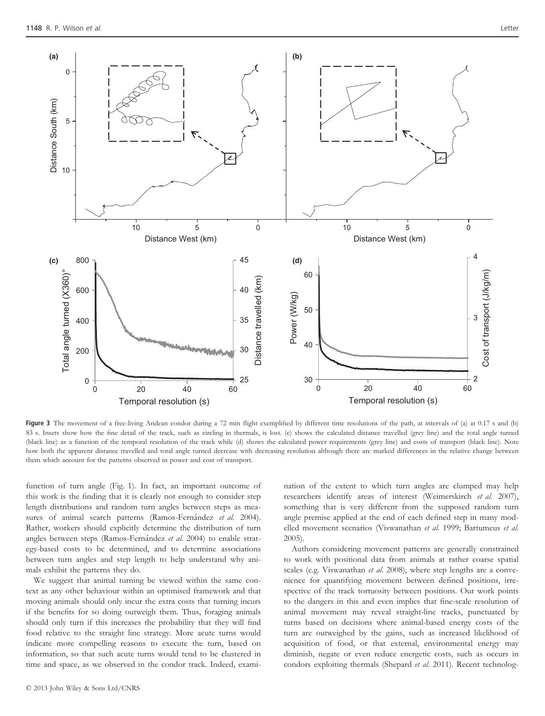

Figure 3 The movement of a free-living Andean condor during a 72 min flight exemplified by different time resolutions of the path, at intervals of (a) at 0.17 s and (b) 83 s. Insets show how the fine detail of the track, such as circling in thermals, is lost. (c) shows the calculated distance travelled (grey line) and the total angle turned (black line) as a function of the temporal resolution of the track while (d) shows the calculated power requirements (grey line) and costs of transport (black line). Note how both the apparent distance travelled and total angle turned decrease with decreasing resolution although there are marked differences in the relative change between them which account for the patterns observed in power and cost of transport.

function of turn angle (Fig. 1). In fact, an important outcome of this work is the finding that it is clearly not enough to consider step length distributions and random turn angles between steps as measures of animal search patterns (Ramos-Fernández et al. 2004). Rather, workers should explicitly determine the distribution of turn angles between steps (Ramos-Fernández et al. 2004) to enable strategy-based costs to be determined, and to determine associations between turn angles and step length to help understand why animals exhibit the patterns they do.

We suggest that animal turning be viewed within the same context as any other behaviour within an optimised framework and that moving animals should only incur the extra costs that turning incurs if the benefits for so doing outweigh them. Thus, foraging animals should only turn if this increases the probability that they will find food relative to the straight line strategy. More acute turns would indicate more compelling reasons to execute the turn, based on information, so that such acute turns would tend to be clustered in time and space, as we observed in the condor track. Indeed, exami-

© 2013 John Wiley & Sons Ltd/CNRS

nation of the extent to which turn angles are clumped may help researchers identify areas of interest (Weimerskirch et al. 2007), something that is very different from the supposed random turn angle premise applied at the end of each defined step in many modelled movement scenarios (Viswanathan et al. 1999; Bartumeus et al. 2005).

Authors considering movement patterns are generally constrained to work with positional data from animals at rather coarse spatial scales (e.g. Viswanathan et al. 2008), where step lengths are a convenience for quantifying movement between defined positions, irrespective of the track tortuosity between positions. Our work points to the dangers in this and even implies that fine-scale resolution of animal movement may reveal straight-line tracks, punctuated by turns based on decisions where animal-based energy costs of the turn are outweighed by the gains, such as increased likelihood of acquisition of food, or that external, environmental energy may diminish, negate or even reduce energetic costs, such as occurs in condors exploiting thermals (Shepard et al. 2011). Recent technolog-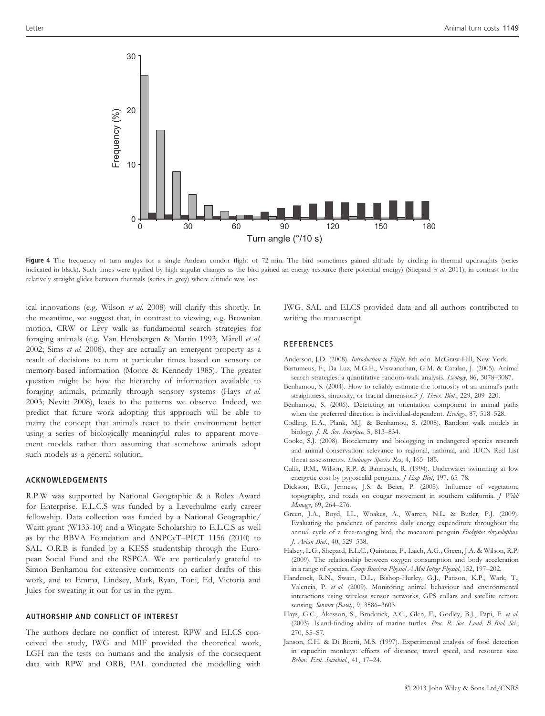

Figure 4 The frequency of turn angles for a single Andean condor flight of 72 min. The bird sometimes gained altitude by circling in thermal updraughts (series indicated in black). Such times were typified by high angular changes as the bird gained an energy resource (here potential energy) (Shepard et al. 2011), in contrast to the relatively straight glides between thermals (series in grey) where altitude was lost.

ical innovations (e.g. Wilson et al. 2008) will clarify this shortly. In the meantime, we suggest that, in contrast to viewing, e.g. Brownian motion, CRW or Lévy walk as fundamental search strategies for foraging animals (e.g. Van Hensbergen & Martin 1993; Mårell et al. 2002; Sims et al. 2008), they are actually an emergent property as a result of decisions to turn at particular times based on sensory or memory-based information (Moore & Kennedy 1985). The greater question might be how the hierarchy of information available to foraging animals, primarily through sensory systems (Hays et al. 2003; Nevitt 2008), leads to the patterns we observe. Indeed, we predict that future work adopting this approach will be able to marry the concept that animals react to their environment better using a series of biologically meaningful rules to apparent movement models rather than assuming that somehow animals adopt such models as a general solution.

#### ACKNOWLEDGEMENTS

R.P.W was supported by National Geographic & a Rolex Award for Enterprise. E.L.C.S was funded by a Leverhulme early career fellowship. Data collection was funded by a National Geographic/ Waitt grant (W133-10) and a Wingate Scholarship to E.L.C.S as well as by the BBVA Foundation and ANPCyT–PICT 1156 (2010) to SAL. O.R.B is funded by a KESS studentship through the European Social Fund and the RSPCA. We are particularly grateful to Simon Benhamou for extensive comments on earlier drafts of this work, and to Emma, Lindsey, Mark, Ryan, Toni, Ed, Victoria and Jules for sweating it out for us in the gym.

## AUTHORSHIP AND CONFLICT OF INTEREST

The authors declare no conflict of interest. RPW and ELCS conceived the study, IWG and MIF provided the theoretical work, LGH ran the tests on humans and the analysis of the consequent data with RPW and ORB, PAL conducted the modelling with IWG. SAL and ELCS provided data and all authors contributed to writing the manuscript.

## REFERENCES

- Anderson, J.D. (2008). Introduction to Flight. 8th edn. McGraw-Hill, New York.
- Bartumeus, F., Da Luz, M.G.E., Viswanathan, G.M. & Catalan, J. (2005). Animal search strategies: a quantitative random-walk analysis. Ecology, 86, 3078-3087.
- Benhamou, S. (2004). How to reliably estimate the tortuosity of an animal's path: straightness, sinuosity, or fractal dimension? J. Theor. Biol., 229, 209–220.
- Benhamou, S. (2006). Detetcting an orientation component in animal paths when the preferred direction is individual-dependent. Ecology, 87, 518-528.
- Codling, E.A., Plank, M.J. & Benhamou, S. (2008). Random walk models in biology. J. R. Soc. Interface, 5, 813–834.
- Cooke, S.J. (2008). Biotelemetry and biologging in endangered species research and animal conservation: relevance to regional, national, and IUCN Red List threat assessments. Endanger Species Res, 4, 165-185.
- Culik, B.M., Wilson, R.P. & Bannasch, R. (1994). Underwater swimming at low energetic cost by pygoscelid penguins. *J Exp Biol*, 197, 65-78.
- Dickson, B.G., Jenness, J.S. & Beier, P. (2005). Influence of vegetation, topography, and roads on cougar movement in southern california. J Wildl Manage, 69, 264–276.
- Green, J.A., Boyd, I.L., Woakes, A., Warren, N.L. & Butler, P.J. (2009). Evaluating the prudence of parents: daily energy expenditure throughout the annual cycle of a free-ranging bird, the macaroni penguin Eudyptes chrysolophus. J. Avian Biol., 40, 529–538.
- Halsey, L.G., Shepard, E.L.C., Quintana, F., Laich, A.G., Green, J.A. & Wilson, R.P. (2009). The relationship between oxygen consumption and body acceleration in a range of species. Comp Biochem Physiol A Mol Integr Physiol, 152, 197–202.
- Handcock, R.N., Swain, D.L., Bishop-Hurley, G.J., Patison, K.P., Wark, T., Valencia, P. et al. (2009). Monitoring animal behaviour and environmental interactions using wireless sensor networks, GPS collars and satellite remote sensing. Sensors (Basel), 9, 3586-3603.
- Hays, G.C., Åkesson, S., Broderick, A.C., Glen, F., Godley, B.J., Papi, F. et al. (2003). Island-finding ability of marine turtles. Proc. R. Soc. Lond. B Biol. Sci., 270, S5–S7.
- Janson, C.H. & Di Bitetti, M.S. (1997). Experimental analysis of food detection in capuchin monkeys: effects of distance, travel speed, and resource size. Behav. Ecol. Sociobiol., 41, 17–24.